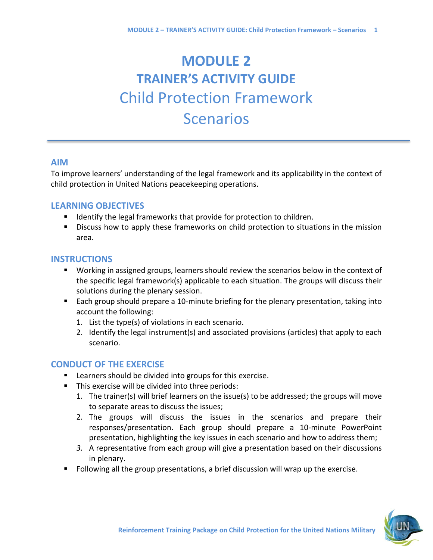# **MODULE 2 TRAINER'S ACTIVITY GUIDE** Child Protection Framework **Scenarios**

#### **AIM**

To improve learners' understanding of the legal framework and its applicability in the context of child protection in United Nations peacekeeping operations.

#### **LEARNING OBJECTIVES**

- Identify the legal frameworks that provide for protection to children.
- **E** Discuss how to apply these frameworks on child protection to situations in the mission area.

#### **INSTRUCTIONS**

- Working in assigned groups, learners should review the scenarios below in the context of the specific legal framework(s) applicable to each situation. The groups will discuss their solutions during the plenary session.
- Each group should prepare a 10-minute briefing for the plenary presentation, taking into account the following:
	- 1. List the type(s) of violations in each scenario.
	- 2. Identify the legal instrument(s) and associated provisions (articles) that apply to each scenario.

# **CONDUCT OF THE EXERCISE**

- Learners should be divided into groups for this exercise.
- This exercise will be divided into three periods:
	- 1. The trainer(s) will brief learners on the issue(s) to be addressed; the groups will move to separate areas to discuss the issues;
	- 2. The groups will discuss the issues in the scenarios and prepare their responses/presentation. Each group should prepare a 10-minute PowerPoint presentation, highlighting the key issues in each scenario and how to address them;
	- *3.* A representative from each group will give a presentation based on their discussions in plenary.
- Following all the group presentations, a brief discussion will wrap up the exercise.

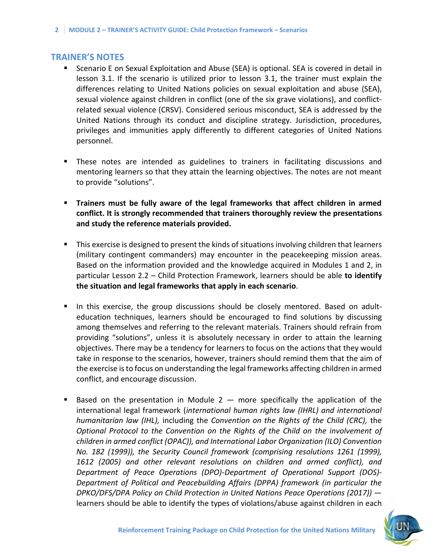#### **TRAINER'S NOTES**

- Scenario E on Sexual Exploitation and Abuse (SEA) is optional. SEA is covered in detail in lesson 3.1. If the scenario is utilized prior to lesson 3.1, the trainer must explain the differences relating to United Nations policies on sexual exploitation and abuse (SEA), sexual violence against children in conflict (one of the six grave violations), and conflictrelated sexual violence (CRSV). Considered serious misconduct, SEA is addressed by the United Nations through its conduct and discipline strategy. Jurisdiction, procedures, privileges and immunities apply differently to different categories of United Nations personnel.
- These notes are intended as guidelines to trainers in facilitating discussions and mentoring learners so that they attain the learning objectives. The notes are not meant to provide "solutions".
- **Trainers must be fully aware of the legal frameworks that affect children in armed conflict. It is strongly recommended that trainers thoroughly review the presentations and study the reference materials provided.**
- This exercise is designed to present the kinds of situations involving children that learners (military contingent commanders) may encounter in the peacekeeping mission areas. Based on the information provided and the knowledge acquired in Modules 1 and 2, in particular Lesson 2.2 – Child Protection Framework, learners should be able **to identify the situation and legal frameworks that apply in each scenario**.
- **■** In this exercise, the group discussions should be closely mentored. Based on adulteducation techniques, learners should be encouraged to find solutions by discussing among themselves and referring to the relevant materials. Trainers should refrain from providing "solutions", unless it is absolutely necessary in order to attain the learning objectives. There may be a tendency for learners to focus on the actions that they would take in response to the scenarios, however, trainers should remind them that the aim of the exercise is to focus on understanding the legal frameworks affecting children in armed conflict, and encourage discussion.
- Based on the presentation in Module  $2$  more specifically the application of the international legal framework (*international human rights law (IHRL) and international humanitarian law (IHL),* including the *Convention on the Rights of the Child (CRC),* the *Optional Protocol to the Convention on the Rights of the Child on the involvement of children in armed conflict (OPAC)), and International Labor Organization (ILO) Convention No. 182 (1999)), the Security Council framework (comprising resolutions 1261 (1999), 1612 (2005) and other relevant resolutions on children and armed conflict), and Department of Peace Operations (DPO)-Department of Operational Support (DOS)- Department of Political and Peacebuilding Affairs (DPPA) framework (in particular the DPKO/DFS/DPA Policy on Child Protection in United Nations Peace Operations (2017))* learners should be able to identify the types of violations/abuse against children in each

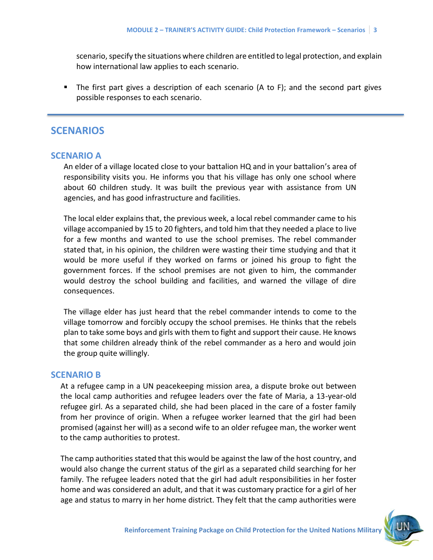scenario, specify the situations where children are entitled to legal protection, and explain how international law applies to each scenario.

■ The first part gives a description of each scenario (A to F); and the second part gives possible responses to each scenario.

# **SCENARIOS**

#### **SCENARIO A**

An elder of a village located close to your battalion HQ and in your battalion's area of responsibility visits you. He informs you that his village has only one school where about 60 children study. It was built the previous year with assistance from UN agencies, and has good infrastructure and facilities.

The local elder explains that, the previous week, a local rebel commander came to his village accompanied by 15 to 20 fighters, and told him that they needed a place to live for a few months and wanted to use the school premises. The rebel commander stated that, in his opinion, the children were wasting their time studying and that it would be more useful if they worked on farms or joined his group to fight the government forces. If the school premises are not given to him, the commander would destroy the school building and facilities, and warned the village of dire consequences.

The village elder has just heard that the rebel commander intends to come to the village tomorrow and forcibly occupy the school premises. He thinks that the rebels plan to take some boys and girls with them to fight and support their cause. He knows that some children already think of the rebel commander as a hero and would join the group quite willingly.

#### **SCENARIO B**

At a refugee camp in a UN peacekeeping mission area, a dispute broke out between the local camp authorities and refugee leaders over the fate of Maria, a 13-year-old refugee girl. As a separated child, she had been placed in the care of a foster family from her province of origin. When a refugee worker learned that the girl had been promised (against her will) as a second wife to an older refugee man, the worker went to the camp authorities to protest.

The camp authorities stated that this would be against the law of the host country, and would also change the current status of the girl as a separated child searching for her family. The refugee leaders noted that the girl had adult responsibilities in her foster home and was considered an adult, and that it was customary practice for a girl of her age and status to marry in her home district. They felt that the camp authorities were

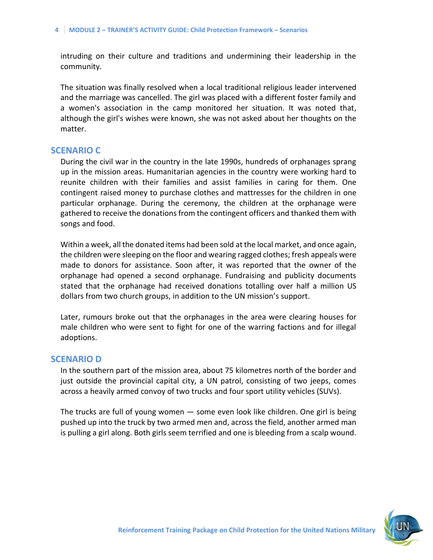intruding on their culture and traditions and undermining their leadership in the community.

The situation was finally resolved when a local traditional religious leader intervened and the marriage was cancelled. The girl was placed with a different foster family and a women's association in the camp monitored her situation. It was noted that, although the girl's wishes were known, she was not asked about her thoughts on the matter.

#### **SCENARIO C**

During the civil war in the country in the late 1990s, hundreds of orphanages sprang up in the mission areas. Humanitarian agencies in the country were working hard to reunite children with their families and assist families in caring for them. One contingent raised money to purchase clothes and mattresses for the children in one particular orphanage. During the ceremony, the children at the orphanage were gathered to receive the donations from the contingent officers and thanked them with songs and food.

Within a week, all the donated items had been sold at the local market, and once again, the children were sleeping on the floor and wearing ragged clothes; fresh appeals were made to donors for assistance. Soon after, it was reported that the owner of the orphanage had opened a second orphanage. Fundraising and publicity documents stated that the orphanage had received donations totalling over half a million US dollars from two church groups, in addition to the UN mission's support.

Later, rumours broke out that the orphanages in the area were clearing houses for male children who were sent to fight for one of the warring factions and for illegal adoptions.

#### **SCENARIO D**

In the southern part of the mission area, about 75 kilometres north of the border and just outside the provincial capital city, a UN patrol, consisting of two jeeps, comes across a heavily armed convoy of two trucks and four sport utility vehicles (SUVs).

The trucks are full of young women — some even look like children. One girl is being pushed up into the truck by two armed men and, across the field, another armed man is pulling a girl along. Both girls seem terrified and one is bleeding from a scalp wound.

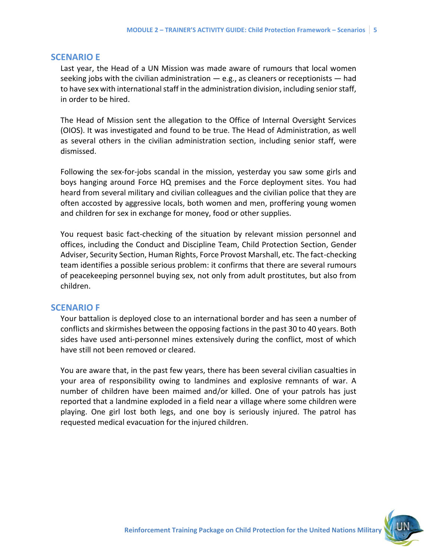#### **SCENARIO E**

Last year, the Head of a UN Mission was made aware of rumours that local women seeking jobs with the civilian administration  $-$  e.g., as cleaners or receptionists  $-$  had to have sex with international staff in the administration division, including senior staff, in order to be hired.

The Head of Mission sent the allegation to the Office of Internal Oversight Services (OIOS). It was investigated and found to be true. The Head of Administration, as well as several others in the civilian administration section, including senior staff, were dismissed.

Following the sex-for-jobs scandal in the mission, yesterday you saw some girls and boys hanging around Force HQ premises and the Force deployment sites. You had heard from several military and civilian colleagues and the civilian police that they are often accosted by aggressive locals, both women and men, proffering young women and children for sex in exchange for money, food or other supplies.

You request basic fact-checking of the situation by relevant mission personnel and offices, including the Conduct and Discipline Team, Child Protection Section, Gender Adviser, Security Section, Human Rights, Force Provost Marshall, etc. The fact-checking team identifies a possible serious problem: it confirms that there are several rumours of peacekeeping personnel buying sex, not only from adult prostitutes, but also from children.

#### **SCENARIO F**

Your battalion is deployed close to an international border and has seen a number of conflicts and skirmishes between the opposing factions in the past 30 to 40 years. Both sides have used anti-personnel mines extensively during the conflict, most of which have still not been removed or cleared.

You are aware that, in the past few years, there has been several civilian casualties in your area of responsibility owing to landmines and explosive remnants of war. A number of children have been maimed and/or killed. One of your patrols has just reported that a landmine exploded in a field near a village where some children were playing. One girl lost both legs, and one boy is seriously injured. The patrol has requested medical evacuation for the injured children.

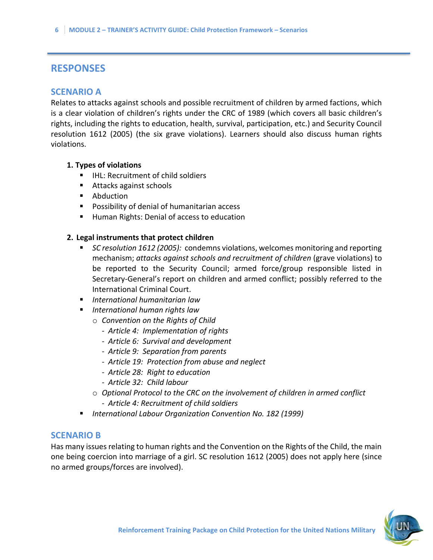# **RESPONSES**

#### **SCENARIO A**

Relates to attacks against schools and possible recruitment of children by armed factions, which is a clear violation of children's rights under the CRC of 1989 (which covers all basic children's rights, including the rights to education, health, survival, participation, etc.) and Security Council resolution 1612 (2005) (the six grave violations). Learners should also discuss human rights violations.

#### **1. Types of violations**

- IHL: Recruitment of child soldiers
- Attacks against schools
- Abduction
- Possibility of denial of humanitarian access
- Human Rights: Denial of access to education

#### **2. Legal instruments that protect children**

- *SC resolution 1612 (2005):* condemns violations, welcomes monitoring and reporting mechanism; *attacks against schools and recruitment of children* (grave violations) to be reported to the Security Council; armed force/group responsible listed in Secretary-General's report on children and armed conflict; possibly referred to the International Criminal Court.
- *International humanitarian law*
- *International human rights law*
	- o *Convention on the Rights of Child*
		- *- Article 4: Implementation of rights*
		- *- Article 6: Survival and development*
		- *- Article 9: Separation from parents*
		- *- Article 19: Protection from abuse and neglect*
		- *- Article 28: Right to education*
		- *- Article 32: Child labour*
	- o *Optional Protocol to the CRC on the involvement of children in armed conflict*  - *Article 4: Recruitment of child soldiers*
- *International Labour Organization Convention No. 182 (1999)*

#### **SCENARIO B**

Has many issues relating to human rights and the Convention on the Rights of the Child, the main one being coercion into marriage of a girl. SC resolution 1612 (2005) does not apply here (since no armed groups/forces are involved).

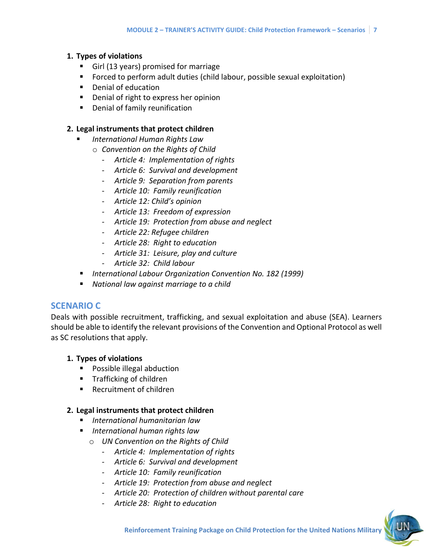#### **1. Types of violations**

- Girl (13 years) promised for marriage
- Forced to perform adult duties (child labour, possible sexual exploitation)
- Denial of education
- Denial of right to express her opinion
- Denial of family reunification

#### **2. Legal instruments that protect children**

- *International Human Rights Law*
	- o *Convention on the Rights of Child*
		- *Article 4: Implementation of rights*
		- *Article 6: Survival and development*
		- *Article 9: Separation from parents*
		- *Article 10: Family reunification*
		- *Article 12: Child's opinion*
		- *- Article 13: Freedom of expression*
		- *- Article 19: Protection from abuse and neglect*
		- *- Article 22: Refugee children*
		- *- Article 28: Right to education*
		- *- Article 31: Leisure, play and culture*
		- *- Article 32: Child labour*
- *International Labour Organization Convention No. 182 (1999)*
- *National law against marriage to a child*

#### **SCENARIO C**

Deals with possible recruitment, trafficking, and sexual exploitation and abuse (SEA). Learners should be able to identify the relevant provisions of the Convention and Optional Protocol as well as SC resolutions that apply.

#### **1. Types of violations**

- Possible illegal abduction
- Trafficking of children
- Recruitment of children

#### **2. Legal instruments that protect children**

- *International humanitarian law*
- *International human rights law*
	- o *UN Convention on the Rights of Child*
		- *Article 4: Implementation of rights*
		- *- Article 6: Survival and development*
		- *- Article 10: Family reunification*
		- *- Article 19: Protection from abuse and neglect*
		- *- Article 20: Protection of children without parental care*
		- *- Article 28: Right to education*

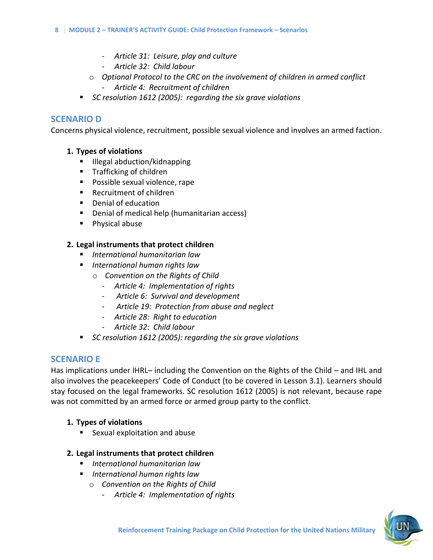- *- Article 31: Leisure, play and culture*
- *- Article 32: Child labour*
- o *Optional Protocol to the CRC on the involvement of children in armed conflict*
	- *Article 4: Recruitment of children*
- *SC resolution 1612 (2005): regarding the six grave violations*

## **SCENARIO D**

Concerns physical violence, recruitment, possible sexual violence and involves an armed faction.

#### **1. Types of violations**

- Illegal abduction/kidnapping
- Trafficking of children
- Possible sexual violence, rape
- Recruitment of children
- Denial of education
- Denial of medical help (humanitarian access)
- Physical abuse

### **2. Legal instruments that protect children**

- *International humanitarian law*
- *International human rights law*
	- o *Convention on the Rights of Child*
		- *- Article 4: Implementation of rights*
		- *- Article 6: Survival and development*
		- *- Article 19: Protection from abuse and neglect*
		- *- Article 28: Right to education*
		- *- Article 32: Child labour*
- *SC resolution 1612 (2005): regarding the six grave violations*

# **SCENARIO E**

Has implications under IHRL– including the Convention on the Rights of the Child – and IHL and also involves the peacekeepers' Code of Conduct (to be covered in Lesson 3.1). Learners should stay focused on the legal frameworks. SC resolution 1612 (2005) is not relevant, because rape was not committed by an armed force or armed group party to the conflict.

#### **1. Types of violations**

■ Sexual exploitation and abuse

# **2. Legal instruments that protect children**

- *International humanitarian law*
- *International human rights law*
	- o *Convention on the Rights of Child*
		- *Article 4: Implementation of rights*